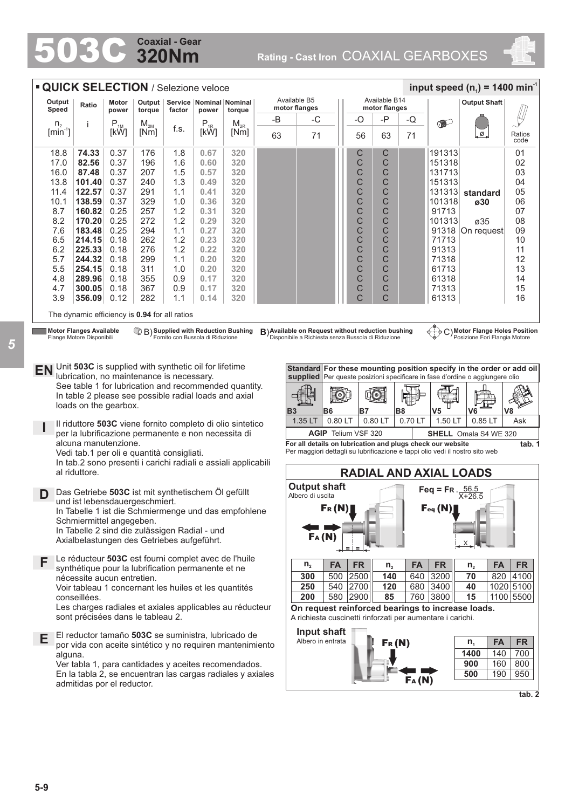# **320Nm Coaxial - Gear**

503C **Rating - Cast Iron** COAXIAL GEARBOXES



|                                                         | <b>QUICK SELECTION / Selezione veloce</b>                                                                                                                                                                                                                                 |                  |                  |            |                                      |                                                                                                                                                                                                                                                |           |                                                                                                                                                                                           |                                                    |                                |                                |                                                            | input speed ( $n_1$ ) = 1400 min <sup>-1</sup>                                                                                                                                                        |                                             |
|---------------------------------------------------------|---------------------------------------------------------------------------------------------------------------------------------------------------------------------------------------------------------------------------------------------------------------------------|------------------|------------------|------------|--------------------------------------|------------------------------------------------------------------------------------------------------------------------------------------------------------------------------------------------------------------------------------------------|-----------|-------------------------------------------------------------------------------------------------------------------------------------------------------------------------------------------|----------------------------------------------------|--------------------------------|--------------------------------|------------------------------------------------------------|-------------------------------------------------------------------------------------------------------------------------------------------------------------------------------------------------------|---------------------------------------------|
| Output<br>Speed                                         | Ratio                                                                                                                                                                                                                                                                     | Motor<br>power   | Output           | factor     | Service   Nominal   Nominal<br>power |                                                                                                                                                                                                                                                |           | Available B5<br>motor flanges                                                                                                                                                             |                                                    | Available B14<br>motor flanges |                                |                                                            | <b>Output Shaft</b>                                                                                                                                                                                   |                                             |
|                                                         |                                                                                                                                                                                                                                                                           |                  | torque           |            |                                      | torque                                                                                                                                                                                                                                         | -B        | -C                                                                                                                                                                                        | $-O$                                               | -P                             | -Q                             | $\bullet$                                                  |                                                                                                                                                                                                       |                                             |
| n <sub>2</sub><br>$\left[\text{min}^{\text{-}1}\right]$ |                                                                                                                                                                                                                                                                           | $P_{1M}$<br>[kW] | $M_{2M}$<br>[Nm] | f.s.       | $P_{1R}$<br>[kW]                     | $M_{2R}$<br>[Nm]                                                                                                                                                                                                                               | 63        | 71                                                                                                                                                                                        | 56                                                 | 63                             | 71                             |                                                            | . ∅.                                                                                                                                                                                                  | Ratios<br>code                              |
| 18.8                                                    | 74.33                                                                                                                                                                                                                                                                     | 0.37             | 176              | 1.8        | 0.67                                 | 320                                                                                                                                                                                                                                            |           |                                                                                                                                                                                           | С                                                  | С                              |                                | 191313                                                     |                                                                                                                                                                                                       | 01                                          |
| 17.0                                                    | 82.56                                                                                                                                                                                                                                                                     | 0.37             | 196              | 1.6        | 0.60                                 | 320                                                                                                                                                                                                                                            |           |                                                                                                                                                                                           | C                                                  | C                              |                                | 151318                                                     |                                                                                                                                                                                                       | 02                                          |
| 16.0                                                    | 87.48                                                                                                                                                                                                                                                                     | 0.37             | 207              | 1.5        | 0.57                                 | 320                                                                                                                                                                                                                                            |           |                                                                                                                                                                                           | С                                                  | С                              |                                | 131713                                                     |                                                                                                                                                                                                       | 03                                          |
| 13.8                                                    | 101.40                                                                                                                                                                                                                                                                    | 0.37             | 240              | 1.3        | 0.49                                 | 320                                                                                                                                                                                                                                            |           |                                                                                                                                                                                           | C                                                  | C                              |                                | 151313                                                     |                                                                                                                                                                                                       | 04                                          |
| 11.4<br>10.1                                            | 122.57<br>138.59                                                                                                                                                                                                                                                          | 0.37<br>0.37     | 291<br>329       | 1.1<br>1.0 | 0.41<br>0.36                         | 320<br>320                                                                                                                                                                                                                                     |           |                                                                                                                                                                                           | C<br>C                                             | C<br>С                         |                                | 131313<br>101318                                           | standard                                                                                                                                                                                              | 05<br>06                                    |
| 8.7                                                     | 160.82                                                                                                                                                                                                                                                                    | 0.25             | 257              | 1.2        | 0.31                                 | 320                                                                                                                                                                                                                                            |           |                                                                                                                                                                                           | C                                                  | C                              |                                | 91713                                                      | ø30                                                                                                                                                                                                   | 07                                          |
| 8.2                                                     | 170.20                                                                                                                                                                                                                                                                    | 0.25             | 272              | 1.2        | 0.29                                 | 320                                                                                                                                                                                                                                            |           |                                                                                                                                                                                           | C                                                  | C                              |                                | 101313                                                     | ø35                                                                                                                                                                                                   | 08                                          |
| 7.6                                                     | 183.48                                                                                                                                                                                                                                                                    | 0.25             | 294              | 1.1        | 0.27                                 | 320                                                                                                                                                                                                                                            |           |                                                                                                                                                                                           | C                                                  | С                              |                                |                                                            | 91318 On request                                                                                                                                                                                      | 09                                          |
| 6.5                                                     | 214.15                                                                                                                                                                                                                                                                    | 0.18             | 262              | 1.2        | 0.23                                 | 320                                                                                                                                                                                                                                            |           |                                                                                                                                                                                           | C                                                  | C                              |                                | 71713                                                      |                                                                                                                                                                                                       | 10                                          |
| 6.2                                                     | 225.33                                                                                                                                                                                                                                                                    | 0.18             | 276              | 1.2        | 0.22                                 | 320                                                                                                                                                                                                                                            |           |                                                                                                                                                                                           | C                                                  | C                              |                                | 91313                                                      |                                                                                                                                                                                                       | 11                                          |
| 5.7                                                     | 244.32                                                                                                                                                                                                                                                                    | 0.18             | 299              | 1.1        | 0.20                                 | 320                                                                                                                                                                                                                                            |           |                                                                                                                                                                                           | C                                                  | С                              |                                | 71318                                                      |                                                                                                                                                                                                       | 12                                          |
| 5.5                                                     | 254.15                                                                                                                                                                                                                                                                    | 0.18             | 311              | 1.0        | 0.20                                 | 320                                                                                                                                                                                                                                            |           |                                                                                                                                                                                           | C                                                  | C                              |                                | 61713                                                      |                                                                                                                                                                                                       | 13                                          |
| 4.8                                                     | 289.96                                                                                                                                                                                                                                                                    | 0.18             | 355              | 0.9        | 0.17                                 | 320                                                                                                                                                                                                                                            |           |                                                                                                                                                                                           | C                                                  | C                              |                                | 61318                                                      |                                                                                                                                                                                                       | 14                                          |
| 4.7                                                     | 300.05                                                                                                                                                                                                                                                                    | 0.18             | 367              | 0.9        | 0.17                                 | 320                                                                                                                                                                                                                                            |           |                                                                                                                                                                                           | С                                                  | С                              |                                | 71313                                                      |                                                                                                                                                                                                       | 15                                          |
| 3.9                                                     | 356.09                                                                                                                                                                                                                                                                    | 0.12             | 282              | 1.1        | 0.14                                 | 320                                                                                                                                                                                                                                            |           |                                                                                                                                                                                           | C                                                  | C                              |                                | 61313                                                      |                                                                                                                                                                                                       | 16                                          |
|                                                         | The dynamic efficiency is 0.94 for all ratios                                                                                                                                                                                                                             |                  |                  |            |                                      |                                                                                                                                                                                                                                                |           |                                                                                                                                                                                           |                                                    |                                |                                |                                                            |                                                                                                                                                                                                       |                                             |
|                                                         |                                                                                                                                                                                                                                                                           |                  |                  |            |                                      |                                                                                                                                                                                                                                                |           |                                                                                                                                                                                           |                                                    |                                |                                |                                                            |                                                                                                                                                                                                       |                                             |
|                                                         | Unit 503C is supplied with synthetic oil for lifetime<br>lubrication, no maintenance is necessary.<br>loads on the gearbox.<br>per la lubrificazione permanente e non necessita di<br>alcuna manutenzione.<br>Vedi tab.1 per oli e quantità consigliati.<br>al riduttore. |                  |                  |            |                                      | See table 1 for lubrication and recommended quantity.<br>In table 2 please see possible radial loads and axial<br>Il riduttore 503C viene fornito completo di olio sintetico<br>In tab.2 sono presenti i carichi radiali e assiali applicabili | <b>B3</b> | <b>B6</b><br>1.35 LT<br>For all details on lubrication and plugs check our website<br>Per maggiori dettagli su lubrificazione e tappi olio vedi il nostro sito web<br><b>Output shaft</b> | <b>B7</b><br>0.80 LT<br><b>AGIP</b> Telium VSF 320 | q<br>0.80 LT                   | B <sub>8</sub><br>0.70 LT      | V <sub>5</sub><br>1.50 LT<br><b>RADIAL AND AXIAL LOADS</b> | Standard For these mounting position specify in the order or add oil<br>supplied Per queste posizioni specificare in fase d'ordine o aggiungere olio<br>V6<br>0.85 LT<br><b>SHELL</b> Omala S4 WE 320 | V8<br>Ask<br>tab. 1                         |
| EN<br>D                                                 | Das Getriebe 503C ist mit synthetischem Öl gefüllt<br>und ist lebensdauergeschmiert.<br>Schmiermittel angegeben.<br>In Tabelle 2 sind die zulässigen Radial - und<br>Axialbelastungen des Getriebes aufgeführt.                                                           |                  |                  |            |                                      | In Tabelle 1 ist die Schmiermenge und das empfohlene                                                                                                                                                                                           |           | Albero di uscita<br>FA(M)                                                                                                                                                                 | $\mathsf{Fr}\left(\mathsf{N}\right)$               |                                |                                | Feq = FR $\frac{56.5}{X+26.5}$<br>Feq(N)                   |                                                                                                                                                                                                       |                                             |
| F                                                       | synthétique pour la lubrification permanente et ne<br>nécessite aucun entretien.<br>conseillées.                                                                                                                                                                          |                  |                  |            |                                      | Le réducteur 503C est fourni complet avec de l'huile<br>Voir tableau 1 concernant les huiles et les quantités                                                                                                                                  |           | $n_{2}$<br><b>FA</b><br>300<br>500<br>250<br>200                                                                                                                                          | <b>FR</b><br>2500<br>540 2700<br>580 2900          | $n_{2}$<br>140<br>120<br>85    | <b>FA</b><br>640<br>680<br>760 | <b>FR</b><br>3200<br>3400<br>3800                          | <b>FA</b><br>n <sub>2</sub><br>70<br>820<br>40<br>15                                                                                                                                                  | <b>FR</b><br>4100<br>1020 5100<br>1100 5500 |
|                                                         | sont précisées dans le tableau 2.                                                                                                                                                                                                                                         |                  |                  |            |                                      | Les charges radiales et axiales applicables au réducteur                                                                                                                                                                                       |           | On request reinforced bearings to increase loads.<br>A richiesta cuscinetti rinforzati per aumentare i carichi.<br>Input shaft                                                            |                                                    |                                |                                |                                                            |                                                                                                                                                                                                       |                                             |
| Е                                                       |                                                                                                                                                                                                                                                                           |                  |                  |            |                                      | El reductor tamaño 503C se suministra, lubricado de<br>por vida con aceite sintético y no requiren mantenimiento                                                                                                                               |           | Albero in entrata                                                                                                                                                                         |                                                    | Fr(M)                          |                                |                                                            | <b>FA</b><br>$n_{1}$                                                                                                                                                                                  |                                             |
| alguna.                                                 |                                                                                                                                                                                                                                                                           |                  |                  |            |                                      |                                                                                                                                                                                                                                                |           |                                                                                                                                                                                           |                                                    |                                |                                |                                                            | 1400<br>140                                                                                                                                                                                           | <b>FR</b><br>700                            |
|                                                         |                                                                                                                                                                                                                                                                           |                  |                  |            |                                      | Ver tabla 1, para cantidades y aceites recomendados.<br>En la tabla 2, se encuentran las cargas radiales y axiales                                                                                                                             |           |                                                                                                                                                                                           |                                                    |                                |                                |                                                            | 900<br>160<br>500<br>190                                                                                                                                                                              | 800<br>950                                  |

*5*

**5-9**